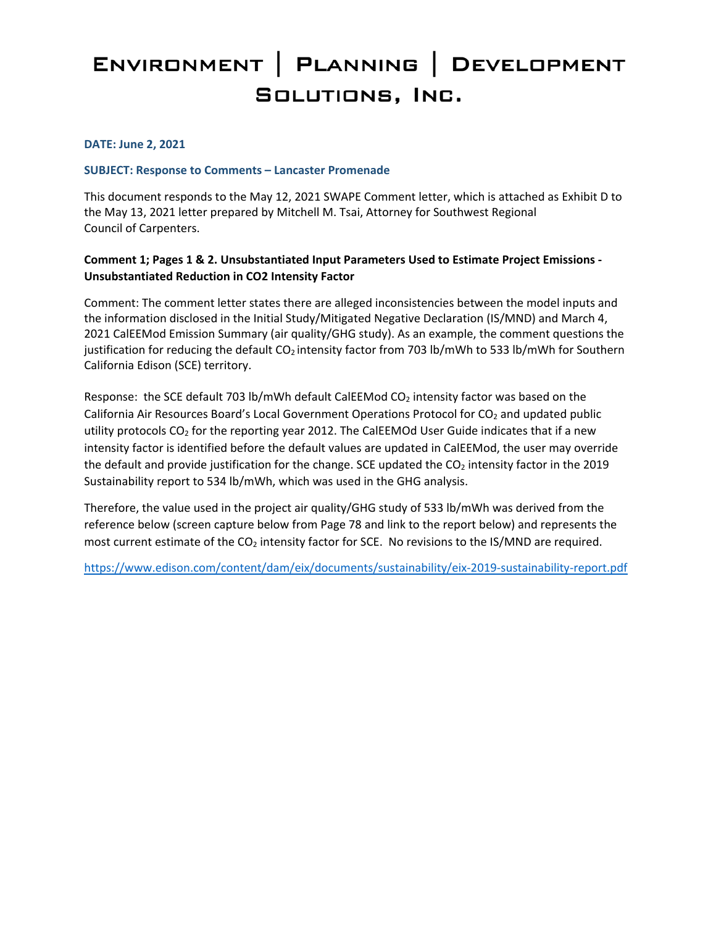# ENVIRONMENT | PLANNING | DEVELOPMENT SOLUTIONS, INC.

#### **DATE: June 2, 2021**

#### **SUBJECT: Response to Comments – Lancaster Promenade**

This document responds to the May 12, 2021 SWAPE Comment letter, which is attached as Exhibit D to the May 13, 2021 letter prepared by Mitchell M. Tsai, Attorney for Southwest Regional Council of Carpenters.

#### **Comment 1; Pages 1 & 2. Unsubstantiated Input Parameters Used to Estimate Project Emissions - Unsubstantiated Reduction in CO2 Intensity Factor**

Comment: The comment letter states there are alleged inconsistencies between the model inputs and the information disclosed in the Initial Study/Mitigated Negative Declaration (IS/MND) and March 4, 2021 CalEEMod Emission Summary (air quality/GHG study). As an example, the comment questions the justification for reducing the default  $CO<sub>2</sub>$  intensity factor from 703 lb/mWh to 533 lb/mWh for Southern California Edison (SCE) territory.

Response: the SCE default 703 lb/mWh default CalEEMod CO<sub>2</sub> intensity factor was based on the California Air Resources Board's Local Government Operations Protocol for CO<sub>2</sub> and updated public utility protocols  $CO<sub>2</sub>$  for the reporting year 2012. The CalEEMOd User Guide indicates that if a new intensity factor is identified before the default values are updated in CalEEMod, the user may override the default and provide justification for the change. SCE updated the  $CO<sub>2</sub>$  intensity factor in the 2019 Sustainability report to 534 lb/mWh, which was used in the GHG analysis.

Therefore, the value used in the project air quality/GHG study of 533 lb/mWh was derived from the reference below (screen capture below from Page 78 and link to the report below) and represents the most current estimate of the CO<sub>2</sub> intensity factor for SCE. No revisions to the IS/MND are required.

<https://www.edison.com/content/dam/eix/documents/sustainability/eix-2019-sustainability-report.pdf>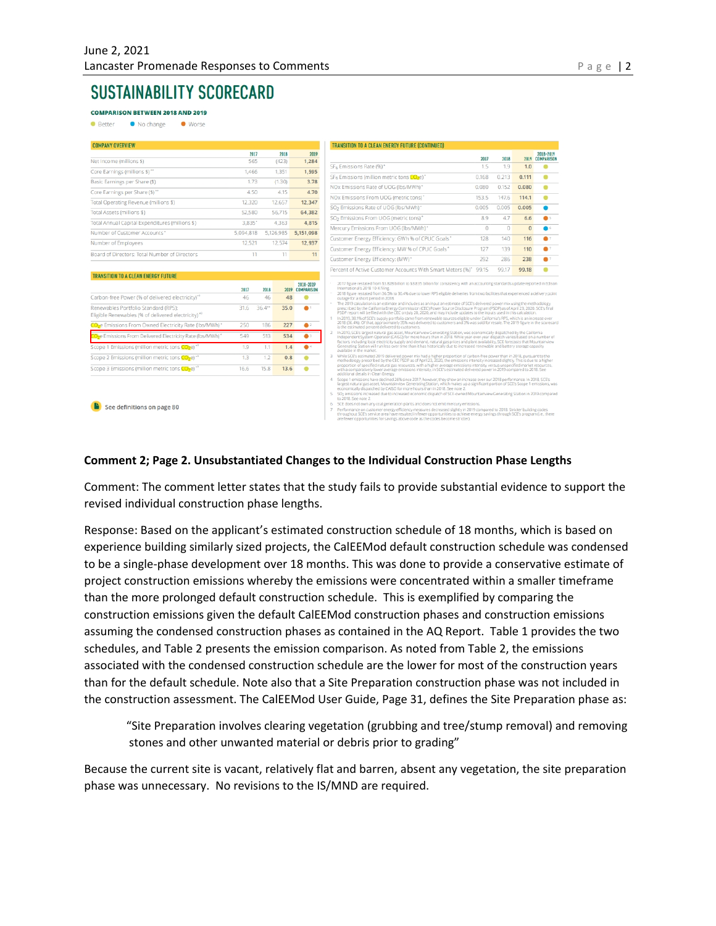# **SUSTAINABILITY SCORECARD**

**COMPARISON BETWEEN 2018 AND 2019** No change **Better** ● Worse

| <b>COMPANY OVERVIEW</b>                                                                                |           |       |                       |                              | TRANSITION TO A CLEAN ENERGY FUTURE (CONTINUED)                                                                                                                                                     |
|--------------------------------------------------------------------------------------------------------|-----------|-------|-----------------------|------------------------------|-----------------------------------------------------------------------------------------------------------------------------------------------------------------------------------------------------|
|                                                                                                        | 2017      |       | 2018                  | 2019                         |                                                                                                                                                                                                     |
| Net Income (millions \$)                                                                               | 565       |       | (423)                 | 1,284                        | SF <sub>6</sub> Emissions Rate (%)*                                                                                                                                                                 |
| Core Earnings (millions \$)**                                                                          | 1.466     |       | 1,351                 | 1,595                        |                                                                                                                                                                                                     |
| Basic Earnings per Share (\$)                                                                          | 1.73      |       | (1.30)                | 3.78                         | SF <sub>6</sub> Emissions (million metric tons CO <sub>2</sub> e) <sup>*</sup>                                                                                                                      |
| Core Earnings per Share (\$)**                                                                         | 4.50      |       | 4.15                  | 4.70                         | NOx Emissions Rate of UOG (lbs/MWh)*                                                                                                                                                                |
| Total Operating Revenue (millions \$)                                                                  | 12,320    |       | 12,657                | 12,347                       | NOx Emissions From UOG (metric tons)*                                                                                                                                                               |
| Total Assets (millions \$)                                                                             | 52,580    |       | 56,715                | 64,382                       | SO <sub>2</sub> Emissions Rate of UOG (lbs/MWh)*                                                                                                                                                    |
| Total Annual Capital Expenditures (millions \$)                                                        | 3.835*    |       | 4.363                 | 4,815                        | SO <sub>2</sub> Emissions From UOG (metric tons) <sup>*</sup>                                                                                                                                       |
| Number of Customer Accounts*                                                                           |           |       |                       |                              | Mercury Emissions From UOG (lbs/MWh)*                                                                                                                                                               |
|                                                                                                        | 5,094,818 |       | 5.126.985             | 5,151,098                    | Customer Energy Efficiency: GWh % of CPUC Goa                                                                                                                                                       |
| Number of Employees                                                                                    | 12,521    |       | 12,574                | 12,937                       |                                                                                                                                                                                                     |
| Board of Directors: Total Number of Directors                                                          |           | 11    | 11                    | 11                           | Customer Energy Efficiency: MW % of CPUC Goal                                                                                                                                                       |
|                                                                                                        |           |       |                       |                              | Customer Energy Efficiency: (MW)*                                                                                                                                                                   |
| TRANSITION TO A CLEAN ENERGY FUTURE                                                                    |           |       |                       |                              | Percent of Active Customer Accounts With Smart                                                                                                                                                      |
|                                                                                                        | 2017      | 2018  |                       | 2018-2019<br>2019 COMPARISON | 2017 figure restated from \$3.828 billion to \$3.835 billion for co.<br>International's 2018 10-K filing.                                                                                           |
| Carbon-free Power (% of delivered electricity) <sup>®</sup>                                            | 46        | 46    | 48                    |                              | 2018 figure restated from 36.5% to 36.4% due to lower RPS elip<br>outage for a short period in 2018.                                                                                                |
| Renewables Portfolio Standard (RPS):<br>Eligible Renewables (% of delivered electricity) <sup>40</sup> | 31.6      | 36.4" | 35.0                  |                              | The 2019 calculation is an estimate and includes as an input an<br>prescribed by the California Energy Commission (CEC) Power S<br>PSDP report will be filed with the CEC on July 20, 2020, and may |
| CO <sub>2</sub> e Emissions From Owned Electricity Rate (lbs/MWh)*                                     | 250       | 186   | 227                   | $\bullet$                    | In 2019, 38.1% of SCE's supply portfolio came from renewable :<br>2018 (36.4%). Of that, approximately 35% was delivered to cust<br>is the estimated percent delivered to customers.                |
| Che Emissions From Dolivered Flostricity Data (Ibs (MARK)*                                             | C A O     | C12   | <b>C<sub>24</sub></b> |                              | In 2019, SCE's largest natural gas asset, Mountainview Generat                                                                                                                                      |

 $13$  $1.2$  $0.8$  $\bullet$ 

 $16.6$  15.8 13.6

 $1.4$  $\bullet$ 

 $\overline{\bullet}$ 

|                                                               | SO <sub>2</sub> Emissions Rate of UOG (Ibs/MWh)*                                                                                                                                                                                                                                                                                                                                                                                                                                                                                                                                               | 0.005    | 0.005    | 0.005    |            |
|---------------------------------------------------------------|------------------------------------------------------------------------------------------------------------------------------------------------------------------------------------------------------------------------------------------------------------------------------------------------------------------------------------------------------------------------------------------------------------------------------------------------------------------------------------------------------------------------------------------------------------------------------------------------|----------|----------|----------|------------|
| SO <sub>2</sub> Emissions From UOG (metric tons) <sup>*</sup> |                                                                                                                                                                                                                                                                                                                                                                                                                                                                                                                                                                                                | 8.9      | 4.7      | 6.6      | <b>A</b> 5 |
|                                                               | Mercury Emissions From UOG (lbs/MWh)*                                                                                                                                                                                                                                                                                                                                                                                                                                                                                                                                                          | $\Omega$ | $\Omega$ | $\Omega$ | $\bullet$  |
|                                                               | Customer Energy Efficiency: GWh % of CPUC Goals*                                                                                                                                                                                                                                                                                                                                                                                                                                                                                                                                               | 128      | 140      | 116      | $\bullet$  |
|                                                               | Customer Energy Efficiency: MW % of CPUC Goals*                                                                                                                                                                                                                                                                                                                                                                                                                                                                                                                                                | 127      | 139      | 110      | $\bullet$  |
|                                                               | Customer Energy Efficiency: (MW)*                                                                                                                                                                                                                                                                                                                                                                                                                                                                                                                                                              | 292      | 286      | 238      | 67         |
|                                                               | Percent of Active Customer Accounts With Smart Meters (%)* 99.15                                                                                                                                                                                                                                                                                                                                                                                                                                                                                                                               |          | 99.17    | 99.18    |            |
| 1                                                             | PSDP report will be filed with the CEC on July 20, 2020, and may include updates to the inputs used in this calculation.<br>In 2019, 38.1% of SCE's supply portfolio came from renewable sources eligible under California's RPS, which is an increase over<br>2018 (36.4%). Of that, approximately 35% was delivered to customers and 3% was sold for resale. The 2019 figure in the scorecard<br>is the estimated percent delivered to customers.                                                                                                                                            |          |          |          |            |
| ×<br>$\alpha$                                                 | International's 2018 10-K filing.<br>2018 figure restated from 36.5% to 36.4% due to lower RPS eligible deliveries from two facilities that experienced a delivery point<br>outage for a short period in 2018.<br>The 2019 calculation is an estimate and includes as an input an estimate of SCE's delivered power mix using the methodology<br>prescribed by the California Energy Commission (CEC) Power Source Disclosure Program (PSDP) as of April 23, 2020, SCE's final                                                                                                                 |          |          |          |            |
| $\overline{z}$                                                | In 2019, SCE's largest natural gas asset. Mountainview Generating Station, was economically dispatched by the California<br>Independent System Operator (CAISO) for more hours than in 2018. While year-over-year dispatch varies based on a number of<br>factors, including local electricity supply and demand, natural gas prices and plant availability. SCE forecasts that Mountainview<br>Generating Station will run less over time than it has historically due to increased renewable and battery storage capacity                                                                    |          |          |          |            |
| 3                                                             | available in the market.<br>While SCE's estimated 2019 delivered power mix had a higher proportion of carbon-free power than in 2018, pursuant to the<br>methodology prescribed by the CEC PSDP as of April 23, 2020, the emissions intensity increased slightly. This is due to a higher<br>proportion of specified natural gas resources, with a higher average emissions intensity, versus unspecified market resources,<br>with a comparatively lower average emissions intensity, in SCE's estimated delivered power in 2019 compared to 2018. See<br>additional details in Clean Energy. |          |          |          |            |
| 4<br>5.                                                       | Scope 1 emissions have declined 26% since 2017; however, they show an increase over our 2018 performance, In 2018, SCE's<br>largest natural gas asset, Mountainview Generating Station, which makes up a significant portion of SCE's Scope 1 emissions, was<br>economically dispatched by CAISO for more hours than in 2018. See note 2.                                                                                                                                                                                                                                                      |          |          |          |            |

er energy efficiency measures decreased slightly in 2019 com<br>area have resulted in fewer opportunities to achieve energy

2017 2018 2019 2018-2019  $1.0$ 

 $\bullet$ 

 $0.168$   $0.213$  0.111  $0.080$   $0.152$  0.080

153.5 147.6 114.1

See definitions on page 80

1 Emissions (million metric tons CO2e)

Scope 2 Emissions (million metric tons CO<sub>2</sub>e)\*

Scope 3 Emissions (million metric tons CO<sub>2</sub>e)<sup>\*\*</sup>

#### **Comment 2; Page 2. Unsubstantiated Changes to the Individual Construction Phase Lengths**

Comment: The comment letter states that the study fails to provide substantial evidence to support the revised individual construction phase lengths.

Response: Based on the applicant's estimated construction schedule of 18 months, which is based on experience building similarly sized projects, the CalEEMod default construction schedule was condensed to be a single-phase development over 18 months. This was done to provide a conservative estimate of project construction emissions whereby the emissions were concentrated within a smaller timeframe than the more prolonged default construction schedule. This is exemplified by comparing the construction emissions given the default CalEEMod construction phases and construction emissions assuming the condensed construction phases as contained in the AQ Report. Table 1 provides the two schedules, and Table 2 presents the emission comparison. As noted from Table 2, the emissions associated with the condensed construction schedule are the lower for most of the construction years than for the default schedule. Note also that a Site Preparation construction phase was not included in the construction assessment. The CalEEMod User Guide, Page 31, defines the Site Preparation phase as:

"Site Preparation involves clearing vegetation (grubbing and tree/stump removal) and removing stones and other unwanted material or debris prior to grading"

Because the current site is vacant, relatively flat and barren, absent any vegetation, the site preparation phase was unnecessary. No revisions to the IS/MND are required.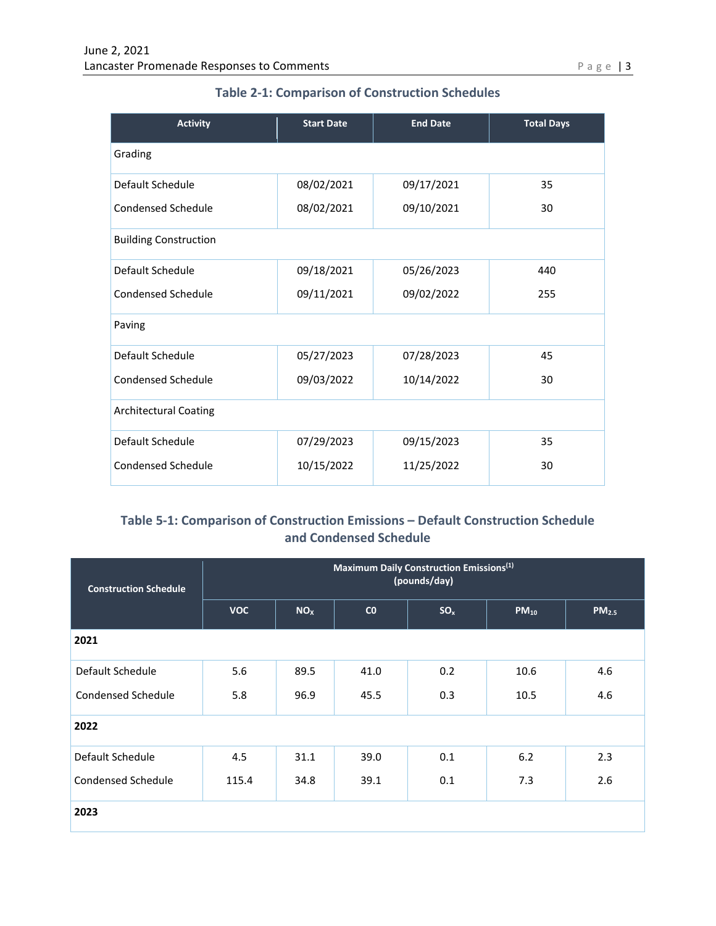| <b>Activity</b>              | <b>Start Date</b> | <b>End Date</b> | <b>Total Days</b> |  |  |  |
|------------------------------|-------------------|-----------------|-------------------|--|--|--|
| Grading                      |                   |                 |                   |  |  |  |
| Default Schedule             | 08/02/2021        | 09/17/2021      | 35                |  |  |  |
| <b>Condensed Schedule</b>    | 08/02/2021        | 09/10/2021      | 30                |  |  |  |
| <b>Building Construction</b> |                   |                 |                   |  |  |  |
| Default Schedule             | 09/18/2021        | 05/26/2023      | 440               |  |  |  |
| Condensed Schedule           | 09/11/2021        | 09/02/2022      | 255               |  |  |  |
| Paving                       |                   |                 |                   |  |  |  |
| Default Schedule             | 05/27/2023        | 07/28/2023      | 45                |  |  |  |
| Condensed Schedule           | 09/03/2022        | 10/14/2022      | 30                |  |  |  |
| <b>Architectural Coating</b> |                   |                 |                   |  |  |  |
| Default Schedule             | 07/29/2023        | 09/15/2023      | 35                |  |  |  |
| Condensed Schedule           | 10/15/2022        | 11/25/2022      | 30                |  |  |  |

# **Table 2-1: Comparison of Construction Schedules**

## **Table 5-1: Comparison of Construction Emissions – Default Construction Schedule and Condensed Schedule**

| <b>Construction Schedule</b> | Maximum Daily Construction Emissions <sup>(1)</sup><br>(pounds/day) |                 |      |                 |           |                   |  |  |
|------------------------------|---------------------------------------------------------------------|-----------------|------|-----------------|-----------|-------------------|--|--|
|                              | <b>VOC</b>                                                          | NO <sub>x</sub> | CO   | SO <sub>x</sub> | $PM_{10}$ | PM <sub>2.5</sub> |  |  |
| 2021                         |                                                                     |                 |      |                 |           |                   |  |  |
| Default Schedule             | 5.6                                                                 | 89.5            | 41.0 | 0.2             | 10.6      | 4.6               |  |  |
| Condensed Schedule           | 5.8                                                                 | 96.9            | 45.5 | 0.3             | 10.5      | 4.6               |  |  |
| 2022                         |                                                                     |                 |      |                 |           |                   |  |  |
| Default Schedule             | 4.5                                                                 | 31.1            | 39.0 | 0.1             | 6.2       | 2.3               |  |  |
| <b>Condensed Schedule</b>    | 115.4                                                               | 34.8            | 39.1 | 0.1             | 7.3       | 2.6               |  |  |
| 2023                         |                                                                     |                 |      |                 |           |                   |  |  |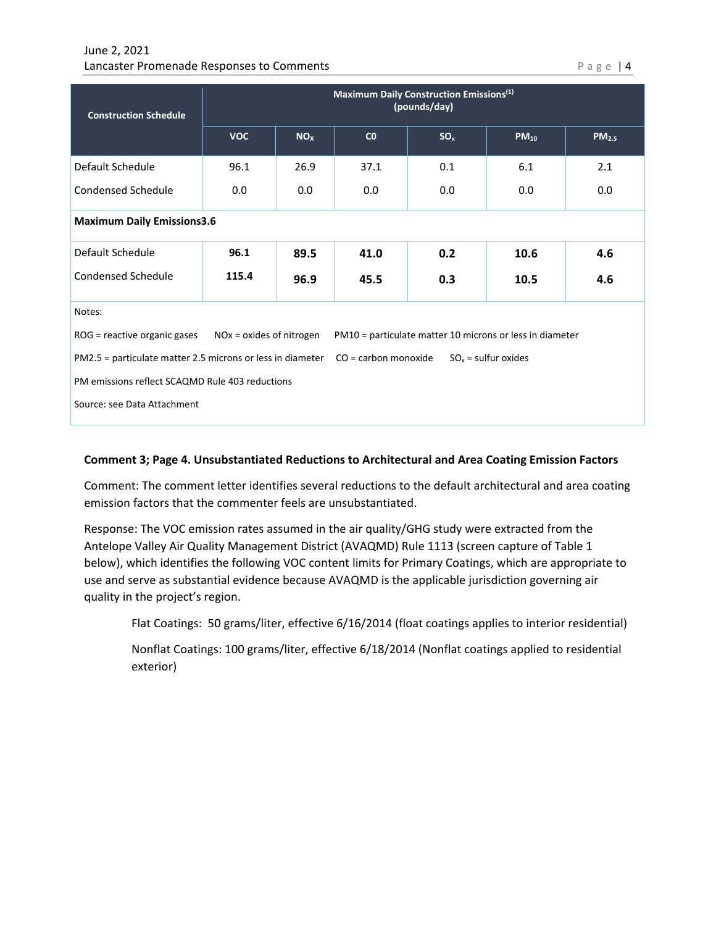#### June 2, 2021 Lancaster Promenade Responses to Comments **Page 14** and 2008 Page 14

| <b>Construction Schedule</b>                                                                                           | Maximum Daily Construction Emissions <sup>(1)</sup><br>(pounds/day) |                 |      |                 |           |                   |  |  |
|------------------------------------------------------------------------------------------------------------------------|---------------------------------------------------------------------|-----------------|------|-----------------|-----------|-------------------|--|--|
|                                                                                                                        | <b>VOC</b>                                                          | NO <sub>X</sub> | CO   | SO <sub>x</sub> | $PM_{10}$ | PM <sub>2.5</sub> |  |  |
| Default Schedule                                                                                                       | 96.1                                                                | 26.9            | 37.1 | 0.1             | 6.1       | 2.1               |  |  |
| Condensed Schedule                                                                                                     | 0.0                                                                 | 0.0             | 0.0  | 0.0             | 0.0       | 0.0               |  |  |
| <b>Maximum Daily Emissions3.6</b>                                                                                      |                                                                     |                 |      |                 |           |                   |  |  |
| Default Schedule                                                                                                       | 96.1                                                                | 89.5            | 41.0 | 0.2             | 10.6      | 4.6               |  |  |
| Condensed Schedule                                                                                                     | 115.4                                                               | 96.9            | 45.5 | 0.3             | 10.5      | 4.6               |  |  |
| Notes:                                                                                                                 |                                                                     |                 |      |                 |           |                   |  |  |
| $NOx = oxides$ of nitrogen<br>ROG = reactive organic gases<br>PM10 = particulate matter 10 microns or less in diameter |                                                                     |                 |      |                 |           |                   |  |  |
| $SOx$ = sulfur oxides<br>PM2.5 = particulate matter 2.5 microns or less in diameter<br>CO = carbon monoxide            |                                                                     |                 |      |                 |           |                   |  |  |
| PM emissions reflect SCAQMD Rule 403 reductions                                                                        |                                                                     |                 |      |                 |           |                   |  |  |
| Source: see Data Attachment                                                                                            |                                                                     |                 |      |                 |           |                   |  |  |

#### **Comment 3; Page 4. Unsubstantiated Reductions to Architectural and Area Coating Emission Factors**

Comment: The comment letter identifies several reductions to the default architectural and area coating emission factors that the commenter feels are unsubstantiated.

Response: The VOC emission rates assumed in the air quality/GHG study were extracted from the Antelope Valley Air Quality Management District (AVAQMD) Rule 1113 (screen capture of Table 1 below), which identifies the following VOC content limits for Primary Coatings, which are appropriate to use and serve as substantial evidence because AVAQMD is the applicable jurisdiction governing air quality in the project's region.

Flat Coatings: 50 grams/liter, effective 6/16/2014 (float coatings applies to interior residential)

Nonflat Coatings: 100 grams/liter, effective 6/18/2014 (Nonflat coatings applied to residential exterior)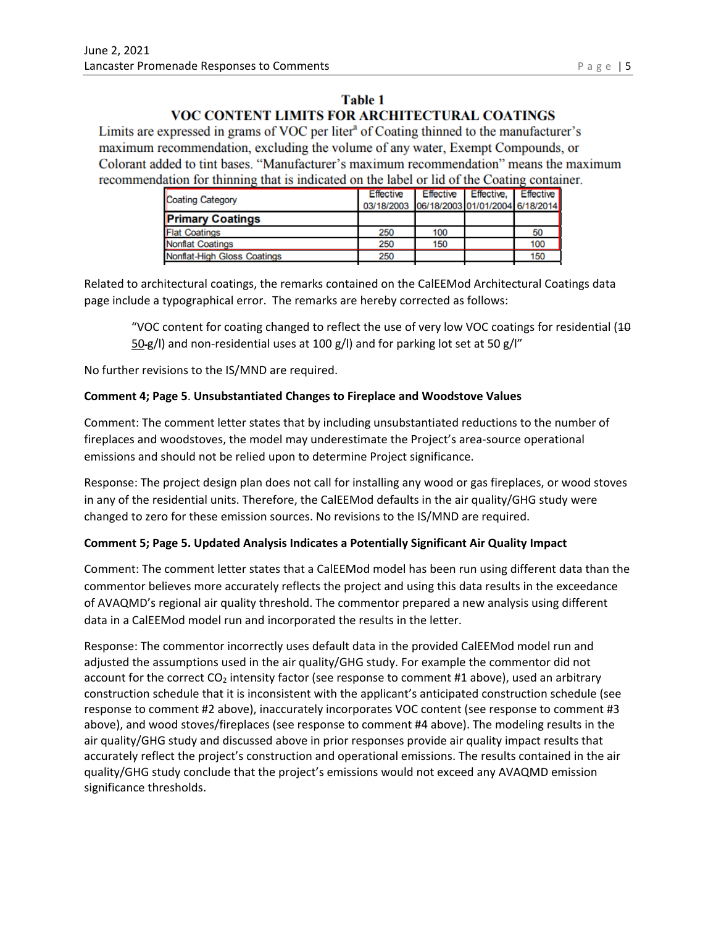## **Table 1** VOC CONTENT LIMITS FOR ARCHITECTURAL COATINGS

Limits are expressed in grams of VOC per liter<sup>a</sup> of Coating thinned to the manufacturer's maximum recommendation, excluding the volume of any water, Exempt Compounds, or Colorant added to tint bases. "Manufacturer's maximum recommendation" means the maximum recommendation for thinning that is indicated on the label or lid of the Coating container.

| 03/18/2003 06/18/2003 01/01/2004 6/18/2014 |
|--------------------------------------------|
|                                            |
| 50                                         |
| 100                                        |
| 150                                        |
|                                            |

Related to architectural coatings, the remarks contained on the CalEEMod Architectural Coatings data page include a typographical error. The remarks are hereby corrected as follows:

"VOC content for coating changed to reflect the use of very low VOC coatings for residential  $(10$ 50-g/l) and non-residential uses at 100 g/l) and for parking lot set at 50 g/l"

No further revisions to the IS/MND are required.

#### **Comment 4; Page 5**. **Unsubstantiated Changes to Fireplace and Woodstove Values**

Comment: The comment letter states that by including unsubstantiated reductions to the number of fireplaces and woodstoves, the model may underestimate the Project's area-source operational emissions and should not be relied upon to determine Project significance.

Response: The project design plan does not call for installing any wood or gas fireplaces, or wood stoves in any of the residential units. Therefore, the CalEEMod defaults in the air quality/GHG study were changed to zero for these emission sources. No revisions to the IS/MND are required.

#### **Comment 5; Page 5. Updated Analysis Indicates a Potentially Significant Air Quality Impact**

Comment: The comment letter states that a CalEEMod model has been run using different data than the commentor believes more accurately reflects the project and using this data results in the exceedance of AVAQMD's regional air quality threshold. The commentor prepared a new analysis using different data in a CalEEMod model run and incorporated the results in the letter.

Response: The commentor incorrectly uses default data in the provided CalEEMod model run and adjusted the assumptions used in the air quality/GHG study. For example the commentor did not account for the correct  $CO<sub>2</sub>$  intensity factor (see response to comment #1 above), used an arbitrary construction schedule that it is inconsistent with the applicant's anticipated construction schedule (see response to comment #2 above), inaccurately incorporates VOC content (see response to comment #3 above), and wood stoves/fireplaces (see response to comment #4 above). The modeling results in the air quality/GHG study and discussed above in prior responses provide air quality impact results that accurately reflect the project's construction and operational emissions. The results contained in the air quality/GHG study conclude that the project's emissions would not exceed any AVAQMD emission significance thresholds.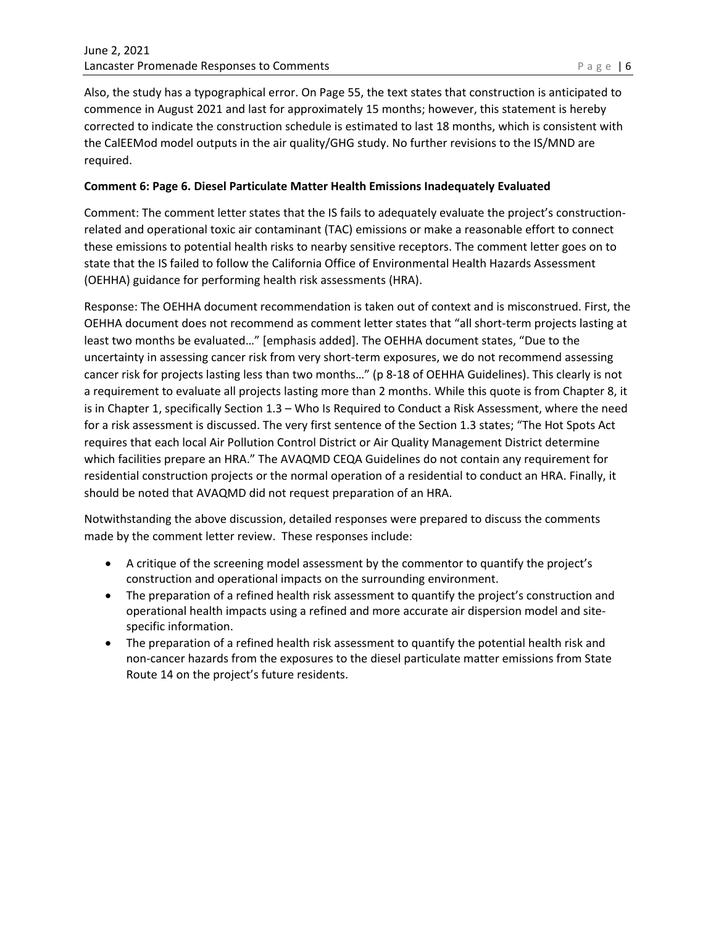Also, the study has a typographical error. On Page 55, the text states that construction is anticipated to commence in August 2021 and last for approximately 15 months; however, this statement is hereby corrected to indicate the construction schedule is estimated to last 18 months, which is consistent with the CalEEMod model outputs in the air quality/GHG study. No further revisions to the IS/MND are required.

#### **Comment 6: Page 6. Diesel Particulate Matter Health Emissions Inadequately Evaluated**

Comment: The comment letter states that the IS fails to adequately evaluate the project's constructionrelated and operational toxic air contaminant (TAC) emissions or make a reasonable effort to connect these emissions to potential health risks to nearby sensitive receptors. The comment letter goes on to state that the IS failed to follow the California Office of Environmental Health Hazards Assessment (OEHHA) guidance for performing health risk assessments (HRA).

Response: The OEHHA document recommendation is taken out of context and is misconstrued. First, the OEHHA document does not recommend as comment letter states that "all short-term projects lasting at least two months be evaluated…" [emphasis added]. The OEHHA document states, "Due to the uncertainty in assessing cancer risk from very short-term exposures, we do not recommend assessing cancer risk for projects lasting less than two months…" (p 8-18 of OEHHA Guidelines). This clearly is not a requirement to evaluate all projects lasting more than 2 months. While this quote is from Chapter 8, it is in Chapter 1, specifically Section 1.3 – Who Is Required to Conduct a Risk Assessment, where the need for a risk assessment is discussed. The very first sentence of the Section 1.3 states; "The Hot Spots Act requires that each local Air Pollution Control District or Air Quality Management District determine which facilities prepare an HRA." The AVAQMD CEQA Guidelines do not contain any requirement for residential construction projects or the normal operation of a residential to conduct an HRA. Finally, it should be noted that AVAQMD did not request preparation of an HRA.

Notwithstanding the above discussion, detailed responses were prepared to discuss the comments made by the comment letter review. These responses include:

- A critique of the screening model assessment by the commentor to quantify the project's construction and operational impacts on the surrounding environment.
- The preparation of a refined health risk assessment to quantify the project's construction and operational health impacts using a refined and more accurate air dispersion model and sitespecific information.
- The preparation of a refined health risk assessment to quantify the potential health risk and non-cancer hazards from the exposures to the diesel particulate matter emissions from State Route 14 on the project's future residents.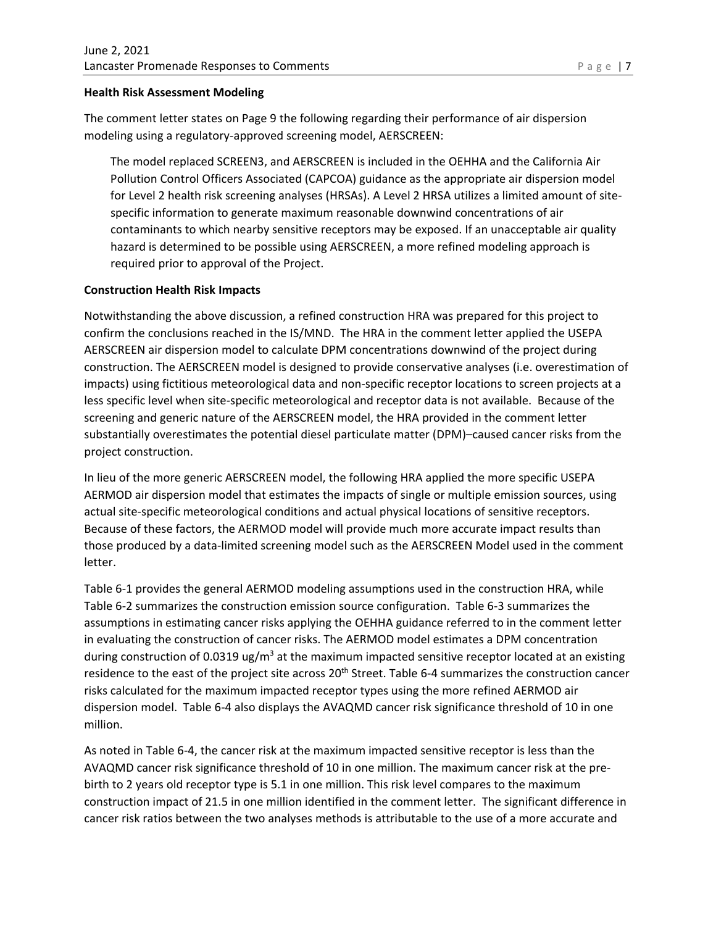#### **Health Risk Assessment Modeling**

The comment letter states on Page 9 the following regarding their performance of air dispersion modeling using a regulatory-approved screening model, AERSCREEN:

The model replaced SCREEN3, and AERSCREEN is included in the OEHHA and the California Air Pollution Control Officers Associated (CAPCOA) guidance as the appropriate air dispersion model for Level 2 health risk screening analyses (HRSAs). A Level 2 HRSA utilizes a limited amount of sitespecific information to generate maximum reasonable downwind concentrations of air contaminants to which nearby sensitive receptors may be exposed. If an unacceptable air quality hazard is determined to be possible using AERSCREEN, a more refined modeling approach is required prior to approval of the Project.

#### **Construction Health Risk Impacts**

Notwithstanding the above discussion, a refined construction HRA was prepared for this project to confirm the conclusions reached in the IS/MND. The HRA in the comment letter applied the USEPA AERSCREEN air dispersion model to calculate DPM concentrations downwind of the project during construction. The AERSCREEN model is designed to provide conservative analyses (i.e. overestimation of impacts) using fictitious meteorological data and non-specific receptor locations to screen projects at a less specific level when site-specific meteorological and receptor data is not available. Because of the screening and generic nature of the AERSCREEN model, the HRA provided in the comment letter substantially overestimates the potential diesel particulate matter (DPM)–caused cancer risks from the project construction.

In lieu of the more generic AERSCREEN model, the following HRA applied the more specific USEPA AERMOD air dispersion model that estimates the impacts of single or multiple emission sources, using actual site-specific meteorological conditions and actual physical locations of sensitive receptors. Because of these factors, the AERMOD model will provide much more accurate impact results than those produced by a data-limited screening model such as the AERSCREEN Model used in the comment letter.

Table 6-1 provides the general AERMOD modeling assumptions used in the construction HRA, while Table 6-2 summarizes the construction emission source configuration. Table 6-3 summarizes the assumptions in estimating cancer risks applying the OEHHA guidance referred to in the comment letter in evaluating the construction of cancer risks. The AERMOD model estimates a DPM concentration during construction of 0.0319 ug/m<sup>3</sup> at the maximum impacted sensitive receptor located at an existing residence to the east of the project site across 20<sup>th</sup> Street. Table 6-4 summarizes the construction cancer risks calculated for the maximum impacted receptor types using the more refined AERMOD air dispersion model. Table 6-4 also displays the AVAQMD cancer risk significance threshold of 10 in one million.

As noted in Table 6-4, the cancer risk at the maximum impacted sensitive receptor is less than the AVAQMD cancer risk significance threshold of 10 in one million. The maximum cancer risk at the prebirth to 2 years old receptor type is 5.1 in one million. This risk level compares to the maximum construction impact of 21.5 in one million identified in the comment letter. The significant difference in cancer risk ratios between the two analyses methods is attributable to the use of a more accurate and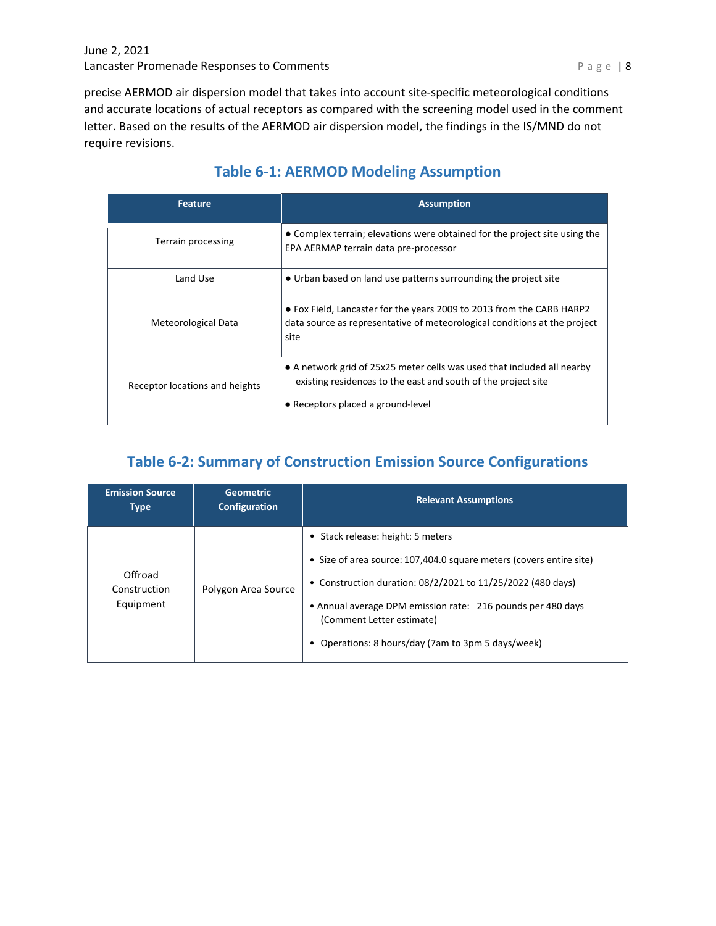precise AERMOD air dispersion model that takes into account site-specific meteorological conditions and accurate locations of actual receptors as compared with the screening model used in the comment letter. Based on the results of the AERMOD air dispersion model, the findings in the IS/MND do not require revisions.

| <b>Feature</b>                 | <b>Assumption</b>                                                                                                                                                             |
|--------------------------------|-------------------------------------------------------------------------------------------------------------------------------------------------------------------------------|
| Terrain processing             | • Complex terrain; elevations were obtained for the project site using the<br>EPA AERMAP terrain data pre-processor                                                           |
| Land Use                       | • Urban based on land use patterns surrounding the project site                                                                                                               |
| Meteorological Data            | • Fox Field, Lancaster for the years 2009 to 2013 from the CARB HARP2<br>data source as representative of meteorological conditions at the project<br>site                    |
| Receptor locations and heights | • A network grid of 25x25 meter cells was used that included all nearby<br>existing residences to the east and south of the project site<br>• Receptors placed a ground-level |

# **Table 6-1: AERMOD Modeling Assumption**

# **Table 6-2: Summary of Construction Emission Source Configurations**

| <b>Emission Source</b><br><b>Type</b> | <b>Geometric</b><br>Configuration | <b>Relevant Assumptions</b>                                                                                                                                                                                                                                                                                                 |
|---------------------------------------|-----------------------------------|-----------------------------------------------------------------------------------------------------------------------------------------------------------------------------------------------------------------------------------------------------------------------------------------------------------------------------|
| Offroad<br>Construction<br>Equipment  | Polygon Area Source               | • Stack release: height: 5 meters<br>• Size of area source: 107,404.0 square meters (covers entire site)<br>• Construction duration: $08/2/2021$ to $11/25/2022$ (480 days)<br>• Annual average DPM emission rate: 216 pounds per 480 days<br>(Comment Letter estimate)<br>Operations: 8 hours/day (7am to 3pm 5 days/week) |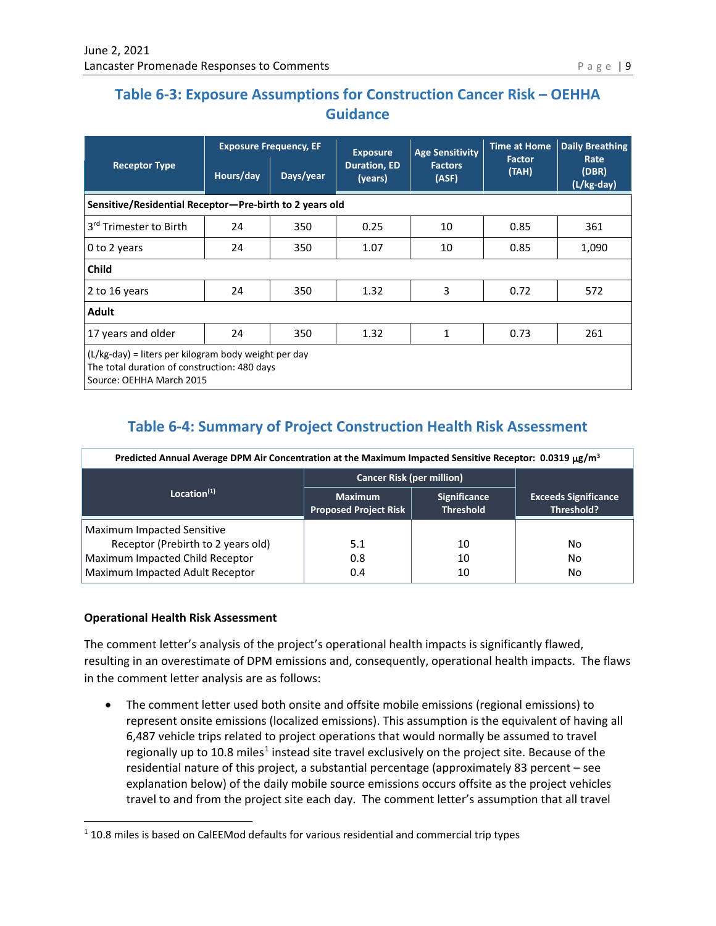# **Table 6-3: Exposure Assumptions for Construction Cancer Risk – OEHHA Guidance**

|                                                                                                                                  | <b>Exposure Frequency, EF</b> |           | <b>Exposure</b>                | <b>Age Sensitivity</b>  | <b>Time at Home</b>    | <b>Daily Breathing</b>      |
|----------------------------------------------------------------------------------------------------------------------------------|-------------------------------|-----------|--------------------------------|-------------------------|------------------------|-----------------------------|
| <b>Receptor Type</b>                                                                                                             | Hours/day                     | Days/year | <b>Duration, ED</b><br>(years) | <b>Factors</b><br>(ASF) | <b>Factor</b><br>(TAH) | Rate<br>(DBR)<br>(L/kg-day) |
| Sensitive/Residential Receptor-Pre-birth to 2 years old                                                                          |                               |           |                                |                         |                        |                             |
| 3 <sup>rd</sup> Trimester to Birth                                                                                               | 24                            | 350       | 0.25                           | 10                      | 0.85                   | 361                         |
| 0 to 2 years                                                                                                                     | 24                            | 350       | 1.07                           | 10                      | 0.85                   | 1,090                       |
| <b>Child</b>                                                                                                                     |                               |           |                                |                         |                        |                             |
| 2 to 16 years                                                                                                                    | 24                            | 350       | 1.32                           | 3                       | 0.72                   | 572                         |
| <b>Adult</b>                                                                                                                     |                               |           |                                |                         |                        |                             |
| 17 years and older                                                                                                               | 24                            | 350       | 1.32                           | 1                       | 0.73                   | 261                         |
| (L/kg-day) = liters per kilogram body weight per day<br>The total duration of construction: 480 days<br>Source: OEHHA March 2015 |                               |           |                                |                         |                        |                             |

# **Table 6-4: Summary of Project Construction Health Risk Assessment**

| Predicted Annual Average DPM Air Concentration at the Maximum Impacted Sensitive Receptor: 0.0319 μg/m <sup>3</sup> |                                                |                                         |                                           |  |  |
|---------------------------------------------------------------------------------------------------------------------|------------------------------------------------|-----------------------------------------|-------------------------------------------|--|--|
|                                                                                                                     | <b>Cancer Risk (per million)</b>               |                                         |                                           |  |  |
| Location $(1)$                                                                                                      | <b>Maximum</b><br><b>Proposed Project Risk</b> | <b>Significance</b><br><b>Threshold</b> | <b>Exceeds Significance</b><br>Threshold? |  |  |
| <b>Maximum Impacted Sensitive</b>                                                                                   |                                                |                                         |                                           |  |  |
| Receptor (Prebirth to 2 years old)                                                                                  | 5.1                                            | 10                                      | No                                        |  |  |
| Maximum Impacted Child Receptor                                                                                     | 0.8                                            | 10                                      | No                                        |  |  |
| Maximum Impacted Adult Receptor                                                                                     | 0.4                                            | 10                                      | No                                        |  |  |

#### **Operational Health Risk Assessment**

The comment letter's analysis of the project's operational health impacts is significantly flawed, resulting in an overestimate of DPM emissions and, consequently, operational health impacts. The flaws in the comment letter analysis are as follows:

• The comment letter used both onsite and offsite mobile emissions (regional emissions) to represent onsite emissions (localized emissions). This assumption is the equivalent of having all 6,487 vehicle trips related to project operations that would normally be assumed to travel regionally up to [1](#page-8-0)0.8 miles<sup>1</sup> instead site travel exclusively on the project site. Because of the residential nature of this project, a substantial percentage (approximately 83 percent – see explanation below) of the daily mobile source emissions occurs offsite as the project vehicles travel to and from the project site each day. The comment letter's assumption that all travel

<span id="page-8-0"></span> $1$  10.8 miles is based on CalEEMod defaults for various residential and commercial trip types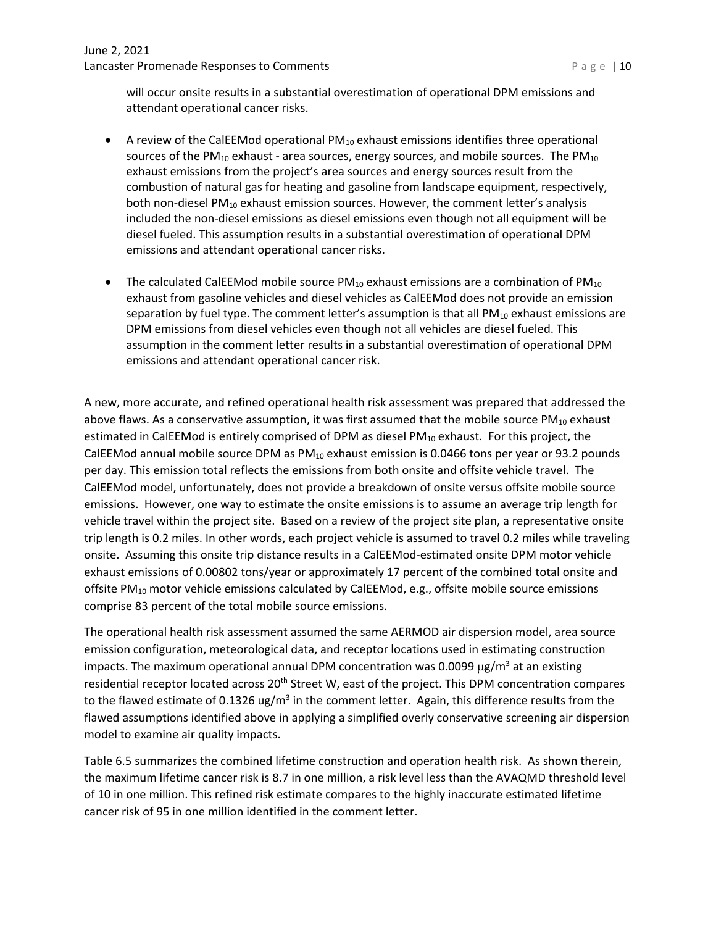will occur onsite results in a substantial overestimation of operational DPM emissions and attendant operational cancer risks.

- A review of the CalEEMod operational  $PM_{10}$  exhaust emissions identifies three operational sources of the PM $_{10}$  exhaust - area sources, energy sources, and mobile sources. The PM $_{10}$ exhaust emissions from the project's area sources and energy sources result from the combustion of natural gas for heating and gasoline from landscape equipment, respectively, both non-diesel PM $_{10}$  exhaust emission sources. However, the comment letter's analysis included the non-diesel emissions as diesel emissions even though not all equipment will be diesel fueled. This assumption results in a substantial overestimation of operational DPM emissions and attendant operational cancer risks.
- The calculated CalEEMod mobile source  $PM_{10}$  exhaust emissions are a combination of  $PM_{10}$ exhaust from gasoline vehicles and diesel vehicles as CalEEMod does not provide an emission separation by fuel type. The comment letter's assumption is that all  $PM_{10}$  exhaust emissions are DPM emissions from diesel vehicles even though not all vehicles are diesel fueled. This assumption in the comment letter results in a substantial overestimation of operational DPM emissions and attendant operational cancer risk.

A new, more accurate, and refined operational health risk assessment was prepared that addressed the above flaws. As a conservative assumption, it was first assumed that the mobile source  $PM_{10}$  exhaust estimated in CalEEMod is entirely comprised of DPM as diesel  $PM_{10}$  exhaust. For this project, the CalEEMod annual mobile source DPM as PM<sub>10</sub> exhaust emission is 0.0466 tons per year or 93.2 pounds per day. This emission total reflects the emissions from both onsite and offsite vehicle travel. The CalEEMod model, unfortunately, does not provide a breakdown of onsite versus offsite mobile source emissions. However, one way to estimate the onsite emissions is to assume an average trip length for vehicle travel within the project site. Based on a review of the project site plan, a representative onsite trip length is 0.2 miles. In other words, each project vehicle is assumed to travel 0.2 miles while traveling onsite. Assuming this onsite trip distance results in a CalEEMod-estimated onsite DPM motor vehicle exhaust emissions of 0.00802 tons/year or approximately 17 percent of the combined total onsite and offsite PM<sub>10</sub> motor vehicle emissions calculated by CalEEMod, e.g., offsite mobile source emissions comprise 83 percent of the total mobile source emissions.

The operational health risk assessment assumed the same AERMOD air dispersion model, area source emission configuration, meteorological data, and receptor locations used in estimating construction impacts. The maximum operational annual DPM concentration was 0.0099  $\mu$ g/m<sup>3</sup> at an existing residential receptor located across 20<sup>th</sup> Street W, east of the project. This DPM concentration compares to the flawed estimate of 0.1326 ug/m<sup>3</sup> in the comment letter. Again, this difference results from the flawed assumptions identified above in applying a simplified overly conservative screening air dispersion model to examine air quality impacts.

Table 6.5 summarizes the combined lifetime construction and operation health risk. As shown therein, the maximum lifetime cancer risk is 8.7 in one million, a risk level less than the AVAQMD threshold level of 10 in one million. This refined risk estimate compares to the highly inaccurate estimated lifetime cancer risk of 95 in one million identified in the comment letter.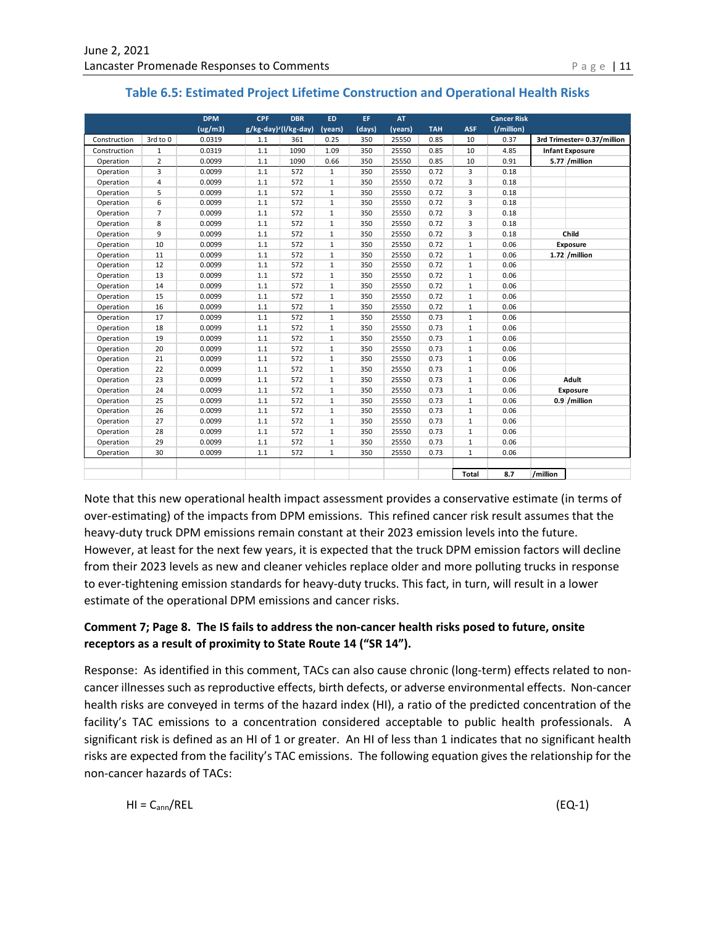| Table 6.5: Estimated Project Lifetime Construction and Operational Health Risks |  |  |
|---------------------------------------------------------------------------------|--|--|
|---------------------------------------------------------------------------------|--|--|

|              |                | <b>DPM</b> | <b>CPF</b>           | <b>DBR</b> | <b>ED</b>    | EF.    | <b>AT</b> |            |              | <b>Cancer Risk</b> |                             |  |
|--------------|----------------|------------|----------------------|------------|--------------|--------|-----------|------------|--------------|--------------------|-----------------------------|--|
|              |                | (ug/m3)    | g/kg-day)'(l/kg-day) |            | (years)      | (days) | (years)   | <b>TAH</b> | <b>ASF</b>   | (/million)         |                             |  |
| Construction | 3rd to 0       | 0.0319     | 1.1                  | 361        | 0.25         | 350    | 25550     | 0.85       | 10           | 0.37               | 3rd Trimester= 0.37/million |  |
| Construction | $\mathbf{1}$   | 0.0319     | $1.1\,$              | 1090       | 1.09         | 350    | 25550     | 0.85       | 10           | 4.85               | <b>Infant Exposure</b>      |  |
| Operation    | $\overline{2}$ | 0.0099     | 1.1                  | 1090       | 0.66         | 350    | 25550     | 0.85       | 10           | 0.91               | 5.77 / million              |  |
| Operation    | 3              | 0.0099     | $1.1\,$              | 572        | 1            | 350    | 25550     | 0.72       | 3            | 0.18               |                             |  |
| Operation    | 4              | 0.0099     | $1.1\,$              | 572        | $\mathbf{1}$ | 350    | 25550     | 0.72       | 3            | 0.18               |                             |  |
| Operation    | 5              | 0.0099     | $1.1\,$              | 572        | $\mathbf{1}$ | 350    | 25550     | 0.72       | 3            | 0.18               |                             |  |
| Operation    | 6              | 0.0099     | 1.1                  | 572        | $\mathbf{1}$ | 350    | 25550     | 0.72       | 3            | 0.18               |                             |  |
| Operation    | $\overline{7}$ | 0.0099     | 1.1                  | 572        | $\mathbf{1}$ | 350    | 25550     | 0.72       | 3            | 0.18               |                             |  |
| Operation    | 8              | 0.0099     | $1.1\,$              | 572        | $\mathbf{1}$ | 350    | 25550     | 0.72       | 3            | 0.18               |                             |  |
| Operation    | 9              | 0.0099     | 1.1                  | 572        | $\mathbf{1}$ | 350    | 25550     | 0.72       | 3            | 0.18               | Child                       |  |
| Operation    | 10             | 0.0099     | $1.1\,$              | 572        | $\mathbf{1}$ | 350    | 25550     | 0.72       | $\mathbf{1}$ | 0.06               | Exposure                    |  |
| Operation    | 11             | 0.0099     | $1.1\,$              | 572        | $\mathbf{1}$ | 350    | 25550     | 0.72       | $\mathbf{1}$ | 0.06               | $1.72$ /million             |  |
| Operation    | 12             | 0.0099     | $1.1\,$              | 572        | $\mathbf 1$  | 350    | 25550     | 0.72       | $\mathbf{1}$ | 0.06               |                             |  |
| Operation    | 13             | 0.0099     | $1.1\,$              | 572        | $\mathbf{1}$ | 350    | 25550     | 0.72       | $\mathbf{1}$ | 0.06               |                             |  |
| Operation    | 14             | 0.0099     | 1.1                  | 572        | $\mathbf{1}$ | 350    | 25550     | 0.72       | 1            | 0.06               |                             |  |
| Operation    | 15             | 0.0099     | 1.1                  | 572        | $\mathbf{1}$ | 350    | 25550     | 0.72       | $\mathbf{1}$ | 0.06               |                             |  |
| Operation    | 16             | 0.0099     | 1.1                  | 572        | $\mathbf{1}$ | 350    | 25550     | 0.72       | $\mathbf{1}$ | 0.06               |                             |  |
| Operation    | 17             | 0.0099     | 1.1                  | 572        | $\mathbf{1}$ | 350    | 25550     | 0.73       | $\mathbf{1}$ | 0.06               |                             |  |
| Operation    | 18             | 0.0099     | 1.1                  | 572        | $\mathbf{1}$ | 350    | 25550     | 0.73       | $\mathbf{1}$ | 0.06               |                             |  |
| Operation    | 19             | 0.0099     | 1.1                  | 572        | $\mathbf{1}$ | 350    | 25550     | 0.73       | $\mathbf{1}$ | 0.06               |                             |  |
| Operation    | 20             | 0.0099     | 1.1                  | 572        | $\mathbf{1}$ | 350    | 25550     | 0.73       | $\mathbf{1}$ | 0.06               |                             |  |
| Operation    | 21             | 0.0099     | 1.1                  | 572        | $\mathbf{1}$ | 350    | 25550     | 0.73       | $\mathbf{1}$ | 0.06               |                             |  |
| Operation    | 22             | 0.0099     | 1.1                  | 572        | $\mathbf{1}$ | 350    | 25550     | 0.73       | $\mathbf{1}$ | 0.06               |                             |  |
| Operation    | 23             | 0.0099     | 1.1                  | 572        | $\mathbf{1}$ | 350    | 25550     | 0.73       | $\mathbf{1}$ | 0.06               | Adult                       |  |
| Operation    | 24             | 0.0099     | 1.1                  | 572        | $\mathbf 1$  | 350    | 25550     | 0.73       | $\mathbf{1}$ | 0.06               | Exposure                    |  |
| Operation    | 25             | 0.0099     | 1.1                  | 572        | $\mathbf{1}$ | 350    | 25550     | 0.73       | $\mathbf{1}$ | 0.06               | 0.9 / million               |  |
| Operation    | 26             | 0.0099     | $1.1\,$              | 572        | 1            | 350    | 25550     | 0.73       | $\mathbf{1}$ | 0.06               |                             |  |
| Operation    | 27             | 0.0099     | $1.1\,$              | 572        | $\mathbf{1}$ | 350    | 25550     | 0.73       | $\mathbf{1}$ | 0.06               |                             |  |
| Operation    | 28             | 0.0099     | 1.1                  | 572        | $\mathbf{1}$ | 350    | 25550     | 0.73       | $\mathbf{1}$ | 0.06               |                             |  |
| Operation    | 29             | 0.0099     | 1.1                  | 572        | $\mathbf 1$  | 350    | 25550     | 0.73       | $\mathbf{1}$ | 0.06               |                             |  |
| Operation    | 30             | 0.0099     | $1.1\,$              | 572        | $\mathbf{1}$ | 350    | 25550     | 0.73       | $\mathbf{1}$ | 0.06               |                             |  |
|              |                |            |                      |            |              |        |           |            |              |                    |                             |  |
|              |                |            |                      |            |              |        |           |            | Total        | 8.7                | /million                    |  |

Note that this new operational health impact assessment provides a conservative estimate (in terms of over-estimating) of the impacts from DPM emissions. This refined cancer risk result assumes that the heavy-duty truck DPM emissions remain constant at their 2023 emission levels into the future. However, at least for the next few years, it is expected that the truck DPM emission factors will decline from their 2023 levels as new and cleaner vehicles replace older and more polluting trucks in response to ever-tightening emission standards for heavy-duty trucks. This fact, in turn, will result in a lower estimate of the operational DPM emissions and cancer risks.

#### **Comment 7; Page 8. The IS fails to address the non-cancer health risks posed to future, onsite receptors as a result of proximity to State Route 14 ("SR 14").**

Response: As identified in this comment, TACs can also cause chronic (long-term) effects related to noncancer illnesses such as reproductive effects, birth defects, or adverse environmental effects. Non-cancer health risks are conveyed in terms of the hazard index (HI), a ratio of the predicted concentration of the facility's TAC emissions to a concentration considered acceptable to public health professionals. A significant risk is defined as an HI of 1 or greater. An HI of less than 1 indicates that no significant health risks are expected from the facility's TAC emissions. The following equation gives the relationship for the non-cancer hazards of TACs:

$$
HI = C_{ann}/REL
$$
 (EQ-1)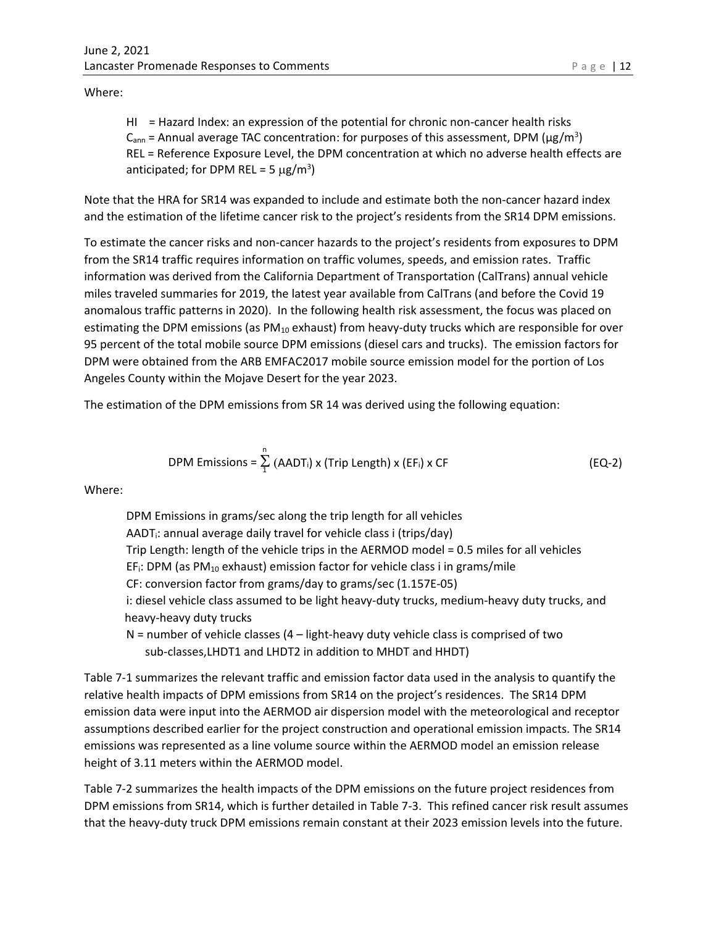Where:

HI = Hazard Index: an expression of the potential for chronic non-cancer health risks  $C<sub>ann</sub>$  = Annual average TAC concentration: for purposes of this assessment, DPM ( $\mu$ g/m<sup>3</sup>) REL = Reference Exposure Level, the DPM concentration at which no adverse health effects are anticipated; for DPM REL = 5  $\mu$ g/m<sup>3</sup>)

Note that the HRA for SR14 was expanded to include and estimate both the non-cancer hazard index and the estimation of the lifetime cancer risk to the project's residents from the SR14 DPM emissions.

To estimate the cancer risks and non-cancer hazards to the project's residents from exposures to DPM from the SR14 traffic requires information on traffic volumes, speeds, and emission rates. Traffic information was derived from the California Department of Transportation (CalTrans) annual vehicle miles traveled summaries for 2019, the latest year available from CalTrans (and before the Covid 19 anomalous traffic patterns in 2020). In the following health risk assessment, the focus was placed on estimating the DPM emissions (as PM<sub>10</sub> exhaust) from heavy-duty trucks which are responsible for over 95 percent of the total mobile source DPM emissions (diesel cars and trucks). The emission factors for DPM were obtained from the ARB EMFAC2017 mobile source emission model for the portion of Los Angeles County within the Mojave Desert for the year 2023.

The estimation of the DPM emissions from SR 14 was derived using the following equation:

$$
DPM \text{ Emissions} = \sum_{1}^{n} (AADT_i) \times (Trip Length) \times (EF_i) \times CF \tag{EQ-2}
$$

Where:

DPM Emissions in grams/sec along the trip length for all vehicles AADT $_i$ : annual average daily travel for vehicle class i (trips/day) Trip Length: length of the vehicle trips in the AERMOD model = 0.5 miles for all vehicles EF<sub>i</sub>: DPM (as PM<sub>10</sub> exhaust) emission factor for vehicle class i in grams/mile CF: conversion factor from grams/day to grams/sec (1.157E-05) i: diesel vehicle class assumed to be light heavy-duty trucks, medium-heavy duty trucks, and heavy-heavy duty trucks

 $N =$  number of vehicle classes  $(4 -$  light-heavy duty vehicle class is comprised of two sub-classes,LHDT1 and LHDT2 in addition to MHDT and HHDT)

Table 7-1 summarizes the relevant traffic and emission factor data used in the analysis to quantify the relative health impacts of DPM emissions from SR14 on the project's residences. The SR14 DPM emission data were input into the AERMOD air dispersion model with the meteorological and receptor assumptions described earlier for the project construction and operational emission impacts. The SR14 emissions was represented as a line volume source within the AERMOD model an emission release height of 3.11 meters within the AERMOD model.

Table 7-2 summarizes the health impacts of the DPM emissions on the future project residences from DPM emissions from SR14, which is further detailed in Table 7-3. This refined cancer risk result assumes that the heavy-duty truck DPM emissions remain constant at their 2023 emission levels into the future.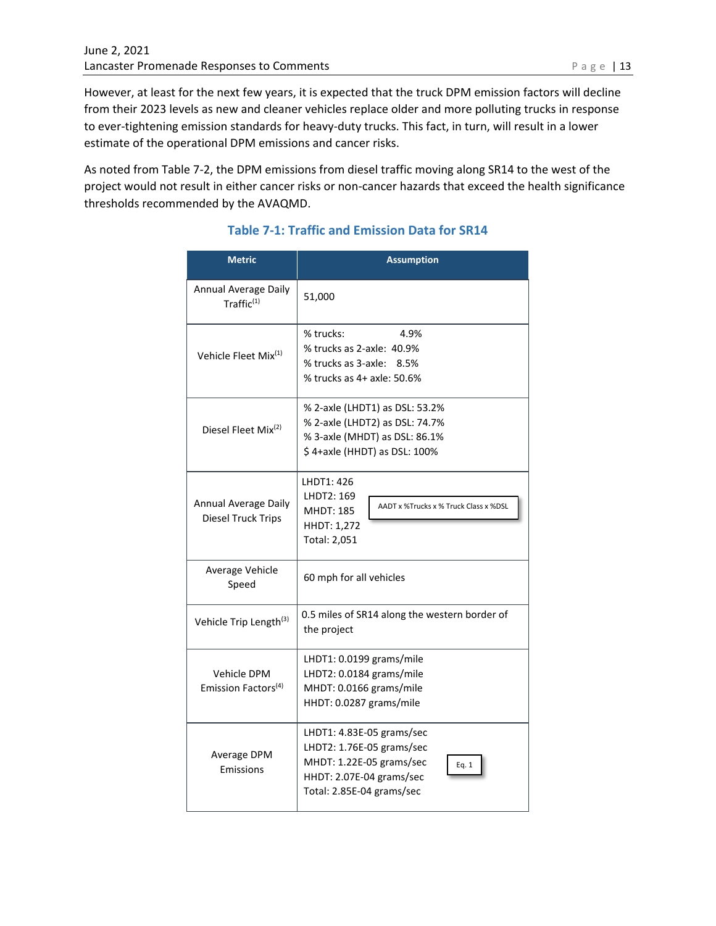However, at least for the next few years, it is expected that the truck DPM emission factors will decline from their 2023 levels as new and cleaner vehicles replace older and more polluting trucks in response to ever-tightening emission standards for heavy-duty trucks. This fact, in turn, will result in a lower estimate of the operational DPM emissions and cancer risks.

As noted from Table 7-2, the DPM emissions from diesel traffic moving along SR14 to the west of the project would not result in either cancer risks or non-cancer hazards that exceed the health significance thresholds recommended by the AVAQMD.

| <b>Metric</b>                                      | <b>Assumption</b>                                                                                                                                    |  |  |  |  |  |  |
|----------------------------------------------------|------------------------------------------------------------------------------------------------------------------------------------------------------|--|--|--|--|--|--|
| <b>Annual Average Daily</b><br>$T$ raffic $^{(1)}$ | 51,000                                                                                                                                               |  |  |  |  |  |  |
| Vehicle Fleet Mix <sup>(1)</sup>                   | % trucks:<br>4.9%<br>% trucks as 2-axle: 40.9%<br>% trucks as 3-axle: 8.5%<br>% trucks as 4+ axle: 50.6%                                             |  |  |  |  |  |  |
| Diesel Fleet Mix <sup>(2)</sup>                    | % 2-axle (LHDT1) as DSL: 53.2%<br>% 2-axle (LHDT2) as DSL: 74.7%<br>% 3-axle (MHDT) as DSL: 86.1%<br>\$4+axle (HHDT) as DSL: 100%                    |  |  |  |  |  |  |
| Annual Average Daily<br>Diesel Truck Trips         | LHDT1: 426<br>LHDT2: 169<br>AADT x %Trucks x % Truck Class x %DSL<br><b>MHDT: 185</b><br>HHDT: 1,272<br>Total: 2,051                                 |  |  |  |  |  |  |
| Average Vehicle<br>Speed                           | 60 mph for all vehicles                                                                                                                              |  |  |  |  |  |  |
| Vehicle Trip Length <sup>(3)</sup>                 | 0.5 miles of SR14 along the western border of<br>the project                                                                                         |  |  |  |  |  |  |
| Vehicle DPM<br>Emission Factors <sup>(4)</sup>     | LHDT1: 0.0199 grams/mile<br>LHDT2: 0.0184 grams/mile<br>MHDT: 0.0166 grams/mile<br>HHDT: 0.0287 grams/mile                                           |  |  |  |  |  |  |
| Average DPM<br>Emissions                           | LHDT1: 4.83E-05 grams/sec<br>LHDT2: 1.76E-05 grams/sec<br>MHDT: 1.22E-05 grams/sec<br>Eq. 1<br>HHDT: 2.07E-04 grams/sec<br>Total: 2.85E-04 grams/sec |  |  |  |  |  |  |

# **Table 7-1: Traffic and Emission Data for SR14**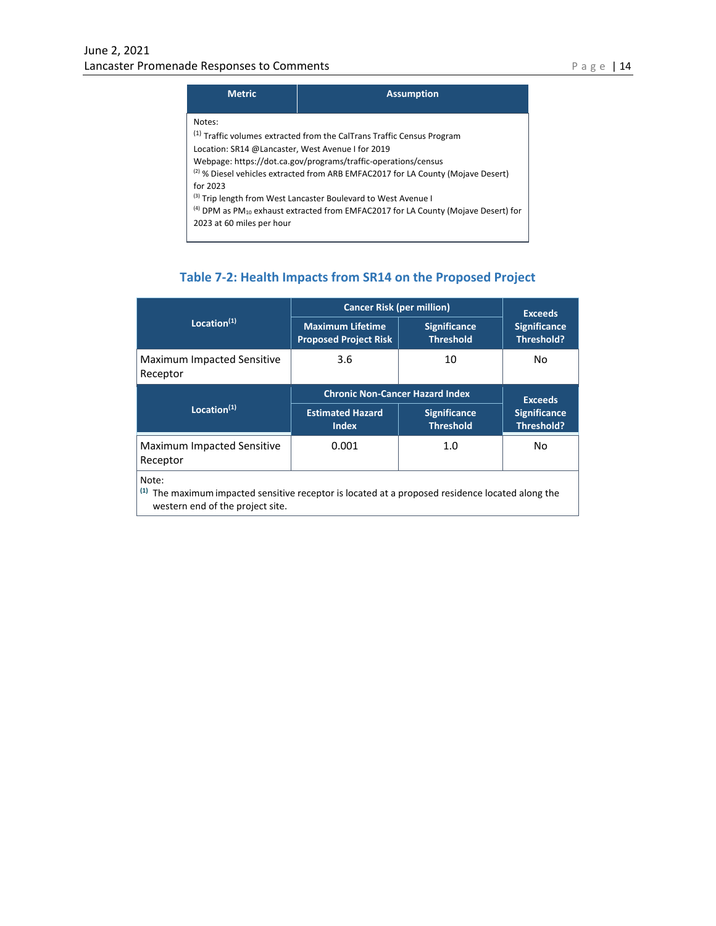|  |  | л |
|--|--|---|
|  |  |   |

| <b>Metric</b>                                                           | <b>Assumption</b>                                                                                                                                                                                                                                                                                                                                                                                                           |
|-------------------------------------------------------------------------|-----------------------------------------------------------------------------------------------------------------------------------------------------------------------------------------------------------------------------------------------------------------------------------------------------------------------------------------------------------------------------------------------------------------------------|
| Notes:<br>Location: SR14 @Lancaster, West Avenue I for 2019<br>for 2023 | <sup>(1)</sup> Traffic volumes extracted from the CalTrans Traffic Census Program<br>Webpage: https://dot.ca.gov/programs/traffic-operations/census<br><sup>(2)</sup> % Diesel vehicles extracted from ARB EMFAC2017 for LA County (Mojave Desert)<br>(3) Trip length from West Lancaster Boulevard to West Avenue I<br>$^{(4)}$ DPM as PM <sub>10</sub> exhaust extracted from EMFAC2017 for LA County (Mojave Desert) for |
| 2023 at 60 miles per hour                                               |                                                                                                                                                                                                                                                                                                                                                                                                                             |

# **Table 7-2: Health Impacts from SR14 on the Proposed Project**

|                                               | <b>Cancer Risk (per million)</b>                        | <b>Exceeds</b>                          |                                   |  |
|-----------------------------------------------|---------------------------------------------------------|-----------------------------------------|-----------------------------------|--|
| Location $(1)$                                | <b>Maximum Lifetime</b><br><b>Proposed Project Risk</b> | <b>Significance</b><br><b>Threshold</b> | <b>Significance</b><br>Threshold? |  |
| <b>Maximum Impacted Sensitive</b><br>Receptor | 3.6                                                     | 10                                      | No                                |  |
|                                               | <b>Chronic Non-Cancer Hazard Index</b>                  | <b>Exceeds</b>                          |                                   |  |
| Location $(1)$                                | <b>Estimated Hazard</b><br>Index                        | <b>Significance</b><br><b>Threshold</b> | <b>Significance</b><br>Threshold? |  |
| <b>Maximum Impacted Sensitive</b><br>Receptor | 0.001                                                   | 1.0                                     | No                                |  |
| Note:                                         |                                                         |                                         |                                   |  |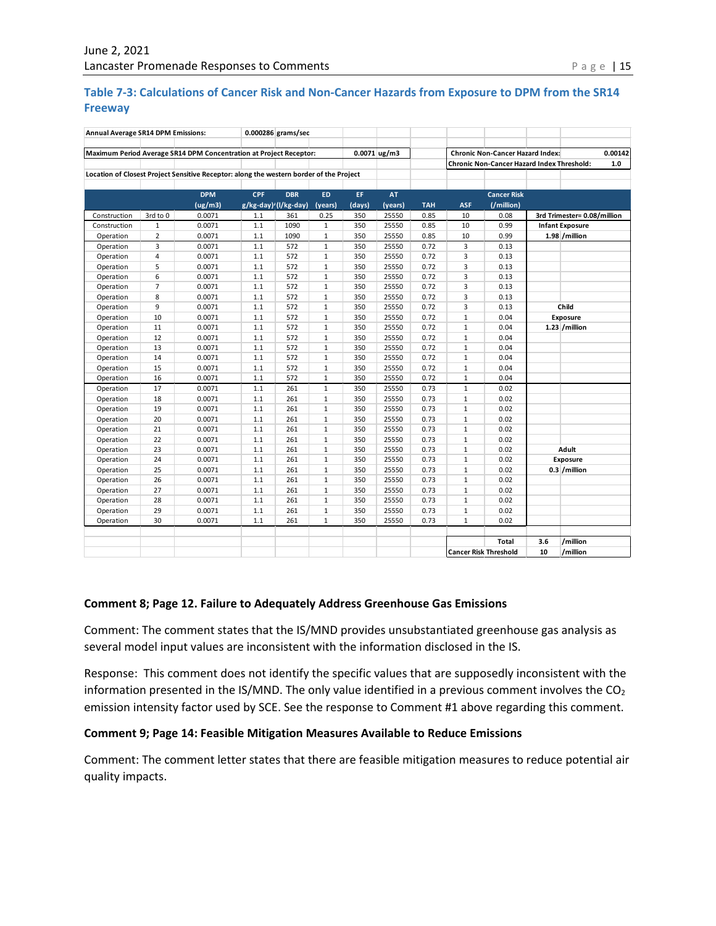#### **Table 7-3: Calculations of Cancer Risk and Non-Cancer Hazards from Exposure to DPM from the SR14 Freeway**

| Annual Average SR14 DPM Emissions: |                |                                                                                         | 0.000286 grams/sec |                      |                |        |           |                                         |                                                |                                                   |                |                             |     |
|------------------------------------|----------------|-----------------------------------------------------------------------------------------|--------------------|----------------------|----------------|--------|-----------|-----------------------------------------|------------------------------------------------|---------------------------------------------------|----------------|-----------------------------|-----|
|                                    |                |                                                                                         |                    |                      |                |        |           |                                         |                                                |                                                   |                |                             |     |
|                                    |                | Maximum Period Average SR14 DPM Concentration at Project Receptor:                      |                    |                      | $0.0071$ ug/m3 |        |           | <b>Chronic Non-Cancer Hazard Index:</b> |                                                |                                                   | 0.00142        |                             |     |
|                                    |                | Location of Closest Project Sensitive Receptor: along the western border of the Project |                    |                      |                |        |           |                                         |                                                | <b>Chronic Non-Cancer Hazard Index Threshold:</b> |                |                             | 1.0 |
|                                    |                |                                                                                         |                    |                      |                |        |           |                                         |                                                |                                                   |                |                             |     |
|                                    |                | <b>DPM</b>                                                                              | <b>CPF</b>         | <b>DBR</b>           | <b>ED</b>      | EF.    | <b>AT</b> |                                         |                                                | <b>Cancer Risk</b>                                |                |                             |     |
|                                    |                | (ug/m3)                                                                                 |                    | g/kg-day)'(l/kg-day) | (years)        | (days) | (years)   | <b>TAH</b>                              | <b>ASF</b>                                     | (/million)                                        |                |                             |     |
| Construction                       | 3rd to 0       | 0.0071                                                                                  | 1.1                | 361                  | 0.25           | 350    | 25550     | 0.85                                    | 10                                             | 0.08                                              |                | 3rd Trimester= 0.08/million |     |
| Construction                       | $\mathbf{1}$   | 0.0071                                                                                  | 1.1                | 1090                 | $\mathbf{1}$   | 350    | 25550     | 0.85                                    | 10                                             | 0.99                                              |                | <b>Infant Exposure</b>      |     |
| Operation                          | $\overline{2}$ | 0.0071                                                                                  | $1.1\,$            | 1090                 | $\mathbf{1}$   | 350    | 25550     | 0.85                                    | 10                                             | 0.99                                              |                | 1.98 / million              |     |
| Operation                          | 3              | 0.0071                                                                                  | 1.1                | 572                  | $\mathbf{1}$   | 350    | 25550     | 0.72                                    | 3                                              | 0.13                                              |                |                             |     |
| Operation                          | 4              | 0.0071                                                                                  | $1.1\,$            | 572                  | $\mathbf{1}$   | 350    | 25550     | 0.72                                    | 3                                              | 0.13                                              |                |                             |     |
| Operation                          | 5              | 0.0071                                                                                  | $1.1\,$            | 572                  | $\mathbf{1}$   | 350    | 25550     | 0.72                                    | 3                                              | 0.13                                              |                |                             |     |
| Operation                          | 6              | 0.0071                                                                                  | $1.1\,$            | 572                  | $\mathbf{1}$   | 350    | 25550     | 0.72                                    | 3                                              | 0.13                                              |                |                             |     |
| Operation                          | $\overline{7}$ | 0.0071                                                                                  | 1.1                | 572                  | $\mathbf{1}$   | 350    | 25550     | 0.72                                    | 3                                              | 0.13                                              |                |                             |     |
| Operation                          | 8              | 0.0071                                                                                  | $1.1\,$            | 572                  | $\mathbf{1}$   | 350    | 25550     | 0.72                                    | 3                                              | 0.13                                              |                |                             |     |
| Operation                          | 9              | 0.0071                                                                                  | $1.1\,$            | 572                  | $\mathbf{1}$   | 350    | 25550     | 0.72                                    | 3                                              | 0.13                                              |                | Child                       |     |
| Operation                          | 10             | 0.0071                                                                                  | $1.1\,$            | 572                  | $\mathbf{1}$   | 350    | 25550     | 0.72                                    | $\mathbf 1$                                    | 0.04                                              | Exposure       |                             |     |
| Operation                          | 11             | 0.0071                                                                                  | 1.1                | 572                  | $\mathbf{1}$   | 350    | 25550     | 0.72                                    | $\mathbf 1$                                    | 0.04                                              | 1.23 / million |                             |     |
| Operation                          | 12             | 0.0071                                                                                  | 1.1                | 572                  | $\mathbf{1}$   | 350    | 25550     | 0.72                                    | $\mathbf{1}$                                   | 0.04                                              |                |                             |     |
| Operation                          | 13             | 0.0071                                                                                  | 1.1                | 572                  | $\mathbf{1}$   | 350    | 25550     | 0.72                                    | $\mathbf{1}$                                   | 0.04                                              |                |                             |     |
| Operation                          | 14             | 0.0071                                                                                  | $1.1\,$            | 572                  | $\mathbf{1}$   | 350    | 25550     | 0.72                                    | $\mathbf{1}$                                   | 0.04                                              |                |                             |     |
| Operation                          | 15             | 0.0071                                                                                  | 1.1                | 572                  | $\mathbf{1}$   | 350    | 25550     | 0.72                                    | $\mathbf{1}$                                   | 0.04                                              |                |                             |     |
| Operation                          | 16             | 0.0071                                                                                  | $1.1\,$            | 572                  | $\mathbf{1}$   | 350    | 25550     | 0.72                                    | $\mathbf{1}$                                   | 0.04                                              |                |                             |     |
| Operation                          | 17             | 0.0071                                                                                  | $1.1\,$            | 261                  | $\mathbf{1}$   | 350    | 25550     | 0.73                                    | $\mathbf{1}$                                   | 0.02                                              |                |                             |     |
| Operation                          | 18             | 0.0071                                                                                  | $1.1\,$            | 261                  | $\mathbf{1}$   | 350    | 25550     | 0.73                                    | $\mathbf 1$                                    | 0.02                                              |                |                             |     |
| Operation                          | 19             | 0.0071                                                                                  | 1.1                | 261                  | $\mathbf{1}$   | 350    | 25550     | 0.73                                    | $\mathbf{1}$                                   | 0.02                                              |                |                             |     |
| Operation                          | 20             | 0.0071                                                                                  | 1.1                | 261                  | $\mathbf{1}$   | 350    | 25550     | 0.73                                    | $\mathbf{1}$                                   | 0.02                                              |                |                             |     |
| Operation                          | 21             | 0.0071                                                                                  | 1.1                | 261                  | $\mathbf{1}$   | 350    | 25550     | 0.73                                    | $\mathbf{1}$                                   | 0.02                                              |                |                             |     |
| Operation                          | 22             | 0.0071                                                                                  | $1.1\,$            | 261                  | $\mathbf{1}$   | 350    | 25550     | 0.73                                    | $\mathbf{1}$                                   | 0.02                                              |                |                             |     |
| Operation                          | 23             | 0.0071                                                                                  | 1.1                | 261                  | $\mathbf{1}$   | 350    | 25550     | 0.73                                    | $\mathbf{1}$                                   | 0.02                                              |                | Adult                       |     |
| Operation                          | 24             | 0.0071                                                                                  | 1.1                | 261                  | $\mathbf{1}$   | 350    | 25550     | 0.73                                    | $1\,$                                          | 0.02                                              |                | Exposure                    |     |
| Operation                          | 25             | 0.0071                                                                                  | 1.1                | 261                  | $\mathbf{1}$   | 350    | 25550     | 0.73                                    | $\mathbf 1$                                    | 0.02                                              |                | 0.3 / million               |     |
| Operation                          | 26             | 0.0071                                                                                  | 1.1                | 261                  | $\mathbf{1}$   | 350    | 25550     | 0.73                                    | $\mathbf{1}$                                   | 0.02                                              |                |                             |     |
| Operation                          | 27             | 0.0071                                                                                  | $1.1\,$            | 261                  | $\mathbf{1}$   | 350    | 25550     | 0.73                                    | $\mathbf{1}$                                   | 0.02                                              |                |                             |     |
| Operation                          | 28             | 0.0071                                                                                  | 1.1                | 261                  | $\mathbf{1}$   | 350    | 25550     | 0.73                                    | $\mathbf{1}$                                   | 0.02                                              |                |                             |     |
| Operation                          | 29             | 0.0071                                                                                  | $1.1\,$            | 261                  | 1              | 350    | 25550     | 0.73                                    | $\mathbf{1}$                                   | 0.02                                              |                |                             |     |
| Operation                          | 30             | 0.0071                                                                                  | $1.1\,$            | 261                  | $\mathbf{1}$   | 350    | 25550     | 0.73                                    | $\mathbf{1}$                                   | 0.02                                              |                |                             |     |
|                                    |                |                                                                                         |                    |                      |                |        |           |                                         |                                                |                                                   |                |                             |     |
|                                    |                |                                                                                         |                    |                      |                |        |           |                                         |                                                | <b>Total</b>                                      | 3.6            | /million                    |     |
|                                    |                |                                                                                         |                    |                      |                |        |           |                                         | <b>Cancer Risk Threshold</b><br>10<br>/million |                                                   |                |                             |     |

#### **Comment 8; Page 12. Failure to Adequately Address Greenhouse Gas Emissions**

Comment: The comment states that the IS/MND provides unsubstantiated greenhouse gas analysis as several model input values are inconsistent with the information disclosed in the IS.

Response: This comment does not identify the specific values that are supposedly inconsistent with the information presented in the IS/MND. The only value identified in a previous comment involves the  $CO<sub>2</sub>$ emission intensity factor used by SCE. See the response to Comment #1 above regarding this comment.

#### **Comment 9; Page 14: Feasible Mitigation Measures Available to Reduce Emissions**

Comment: The comment letter states that there are feasible mitigation measures to reduce potential air quality impacts.